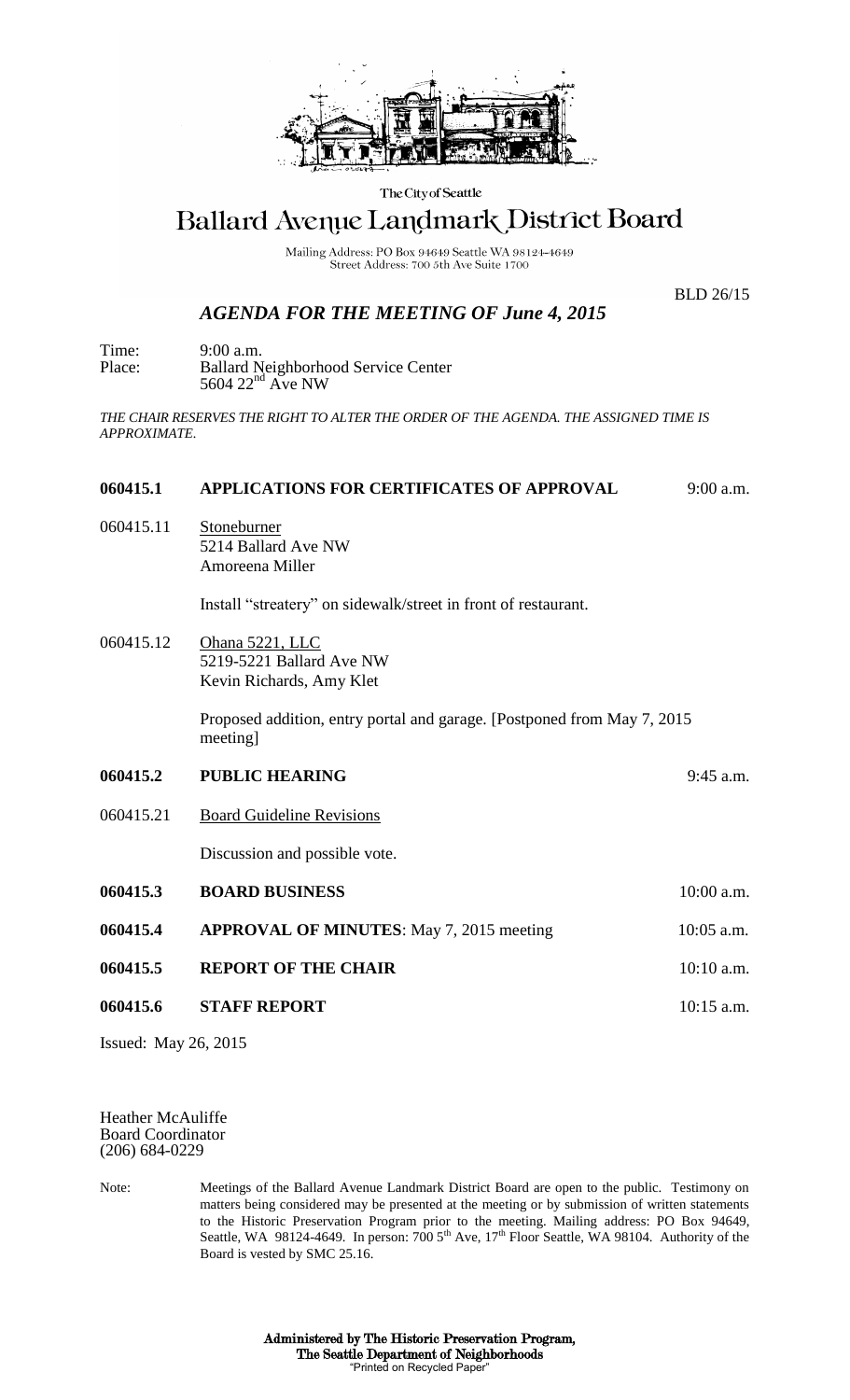

The City of Seattle

## Ballard Avenue Landmark District Board

Mailing Address: PO Box 94649 Seattle WA 98124-4649 Street Address: 700 5th Ave Suite 1700

BLD 26/15

## *AGENDA FOR THE MEETING OF June 4, 2015*

Time: 9:00 a.m. Place: Ballard Neighborhood Service Center  $5604$   $22<sup>nd</sup>$  Ave NW

*THE CHAIR RESERVES THE RIGHT TO ALTER THE ORDER OF THE AGENDA. THE ASSIGNED TIME IS APPROXIMATE.*

## **060415.1 APPLICATIONS FOR CERTIFICATES OF APPROVAL** 9:00 a.m.

060415.11 Stoneburner 5214 Ballard Ave NW Amoreena Miller

Install "streatery" on sidewalk/street in front of restaurant.

060415.12 Ohana 5221, LLC 5219-5221 Ballard Ave NW Kevin Richards, Amy Klet

> Proposed addition, entry portal and garage. [Postponed from May 7, 2015 meeting]

- **060415.2 PUBLIC HEARING** 9:45 a.m.
- 060415.21 Board Guideline Revisions

Discussion and possible vote.

| 060415.3 | <b>BOARD BUSINESS</b>                           | $10:00$ a.m. |
|----------|-------------------------------------------------|--------------|
| 060415.4 | <b>APPROVAL OF MINUTES:</b> May 7, 2015 meeting | $10:05$ a.m. |
| 060415.5 | <b>REPORT OF THE CHAIR</b>                      | $10:10$ a.m. |
| 060415.6 | <b>STAFF REPORT</b>                             | $10:15$ a.m. |

Issued: May 26, 2015

Heather McAuliffe Board Coordinator (206) 684-0229

Note: Meetings of the Ballard Avenue Landmark District Board are open to the public. Testimony on matters being considered may be presented at the meeting or by submission of written statements to the Historic Preservation Program prior to the meeting. Mailing address: PO Box 94649, Seattle, WA 98124-4649. In person:  $7005<sup>th</sup>$  Ave,  $17<sup>th</sup>$  Floor Seattle, WA 98104. Authority of the Board is vested by SMC 25.16.